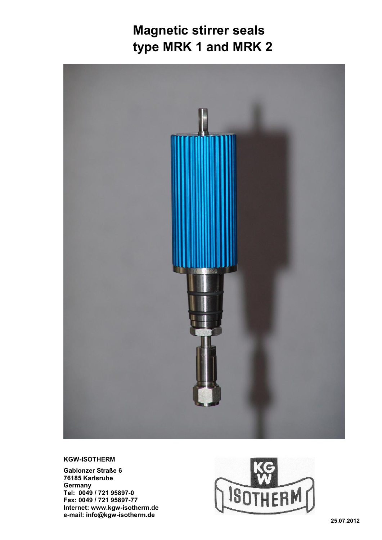# **Magnetic stirrer seals type MRK 1 and MRK 2**



#### **KGW-ISOTHERM**

**Gablonzer Straße 6 76185 Karlsruhe Germany Tel: 0049 / 721 95897-0 Fax: 0049 / 721 95897-77 Internet: www.kgw-isotherm.de e-mail: info@kgw-isotherm.de**

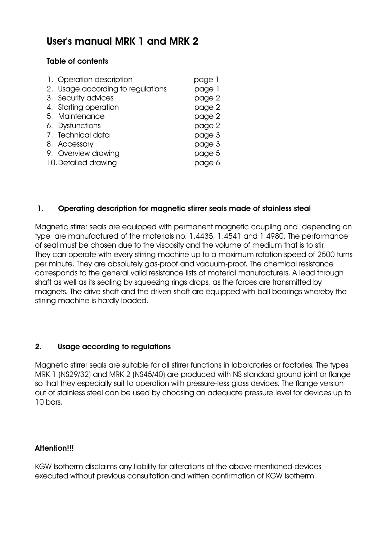## User's manual MRK 1 and MRK 2

#### Table of contents

| 1. Operation description          | page 1 |
|-----------------------------------|--------|
| 2. Usage according to regulations | page 1 |
| 3. Security advices               | page 2 |
| 4. Starting operation             | page 2 |
| 5. Maintenance                    | page 2 |
| 6. Dysfunctions                   | page 2 |
| 7. Technical data                 | page 3 |
| 8. Accessory                      | page 3 |
| 9. Overview drawing               | page 5 |
| 10. Detailed drawing              | one 6  |

#### 1. Operating description for magnetic stirrer seals made of stainless steal

Magnetic stirrer seals are equipped with permanent magnetic coupling and depending on type are manufactured of the materials no. 1.4435, 1.4541 and 1.4980. The performance of seal must be chosen due to the viscosity and the volume of medium that is to stir. They can operate with every stirring machine up to a maximum rotation speed of 2500 turns per minute. They are absolutely gas-proof and vacuum-proof. The chemical resistance corresponds to the general valid resistance lists of material manufacturers. A lead through shaft as well as its sealing by squeezing rings drops, as the forces are transmitted by magnets. The drive shaft and the driven shaft are equipped with ball bearings whereby the stirring machine is hardly loaded.

#### 2. Usage according to regulations

Magnetic stirrer seals are suitable for all stirrer functions in laboratories or factories. The types MRK 1 (NS29/32) and MRK 2 (NS45/40) are produced with NS standard ground joint or flange so that they especially suit to operation with pressure-less alass devices. The flange version out of stainless steel can be used by choosing an adequate pressure level for devices up to 10 bars.

### Attention!!!

KGW Isotherm disclaims any liability for alterations at the above-mentioned devices executed without previous consultation and written confirmation of KGW Isotherm.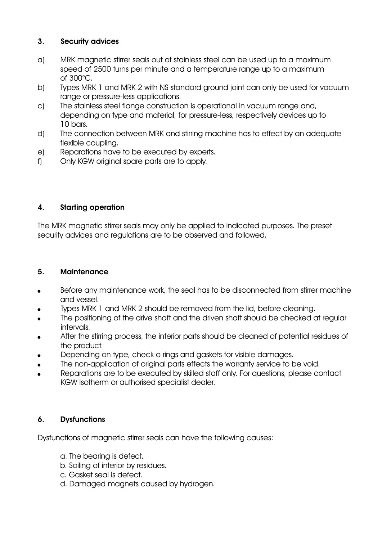#### 3. Security advices

- a) MRK magnetic stirrer seals out of stainless steel can be used up to a maximum speed of 2500 turns per minute and a temperature range up to a maximum of 300°C.
- b) Types MRK 1 and MRK 2 with NS standard ground joint can only be used for vacuum range or pressure-less applications.
- c) The stainless steel flange construction is operational in vacuum range and, depending on type and material, for pressure-less, respectively devices up to 10 bars.
- d) The connection between MRK and stirring machine has to effect by an adequate flexible coupling.
- e) Reparations have to be executed by experts.
- f) Only KGW original spare parts are to apply.

#### 4. Starting operation

The MRK magnetic stirrer seals may only be applied to indicated purposes. The preset security advices and regulations are to be observed and followed.

#### 5. Maintenance

- Before any maintenance work, the seal has to be disconnected from stirrer machine and vessel.
- Types MRK 1 and MRK 2 should be removed from the lid, before cleaning.
- The positioning of the drive shaft and the driven shaft should be checked at regular intervals.
- ! After the stirring process, the interior parts should be cleaned of potential residues of the product.
- Depending on type, check o rings and gaskets for visible damages.
- The non-application of original parts effects the warranty service to be void.
- Reparations are to be executed by skilled staff only. For questions, please contact KGW Isotherm or authorised specialist dealer.

### 6. Dysfunctions

Dysfunctions of magnetic stirrer seals can have the following causes:

- a. The bearing is defect.
- b. Soiling of interior by residues.
- c. Gasket seal is defect.
- d. Damaged magnets caused by hydrogen.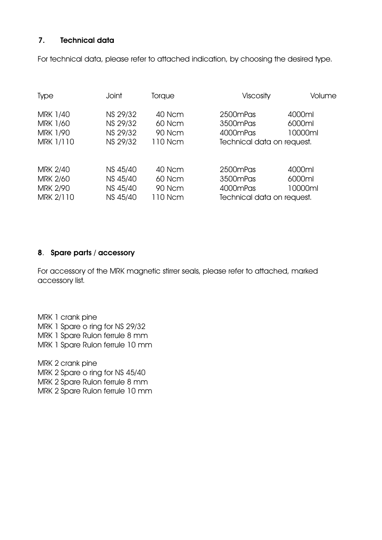#### 7. Technical data

For technical data, please refer to attached indication, by choosing the desired type.

| <b>Type</b>                                                        | <b>Joint</b>                                 | Torque                                | <b>Viscosity</b>                                                           | Volume                      |
|--------------------------------------------------------------------|----------------------------------------------|---------------------------------------|----------------------------------------------------------------------------|-----------------------------|
| MRK 1/40<br><b>MRK 1/60</b><br><b>MRK 1/90</b><br>MRK 1/110        | NS 29/32<br>NS 29/32<br>NS 29/32<br>NS 29/32 | 40 Ncm<br>60 Ncm<br>90 Ncm<br>110 Ncm | 2500 <sub>mPas</sub><br>3500mPas<br>4000mPas<br>Technical data on request. | 4000ml<br>6000ml<br>10000ml |
| <b>MRK 2/40</b><br><b>MRK 2/60</b><br><b>MRK 2/90</b><br>MRK 2/110 | NS 45/40<br>NS 45/40<br>NS 45/40<br>NS 45/40 | 40 Ncm<br>60 Ncm<br>90 Ncm<br>110 Ncm | 2500 <sub>mPas</sub><br>3500mPas<br>4000mPas<br>Technical data on request. | 4000ml<br>6000ml<br>10000ml |

#### 8. Spare parts / accessory

For accessory of the MRK magnetic stirrer seals, please refer to attached, marked accessory list.

MRK 1 crank pine MRK 1 Spare o ring for NS 29/32 MRK 1 Spare Rulon ferrule 8 mm MRK 1 Spare Rulon ferrule 10 mm

MRK 2 crank pine MRK 2 Spare o ring for NS 45/40 MRK 2 Spare Rulon ferrule 8 mm MRK 2 Spare Rulon ferrule 10 mm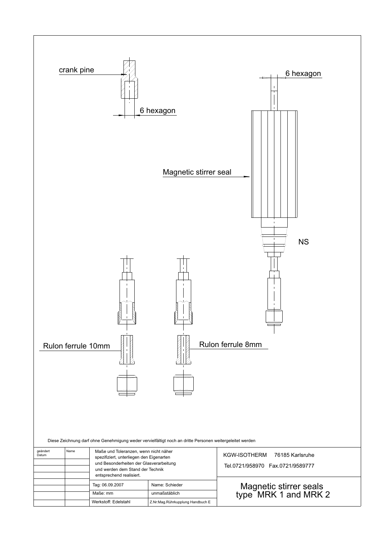